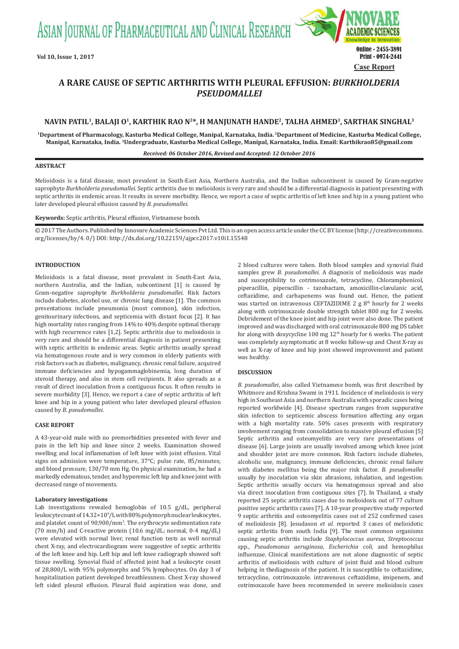ASIAN JOURNAL OF PHARMACEUTICAL AND CLINICAL RESEARCH



# **A RARE CAUSE OF SEPTIC ARTHRITIS WITH PLEURAL EFFUSION:** *BURKHOLDERIA PSEUDOMALLEI*

# NAVIN PATIL<sup>1</sup>, BALAJI O<sup>1</sup>, KARTHIK RAO N<sup>2\*</sup>, H MANJUNATH HANDE<sup>2</sup>, TALHA AHMED<sup>3</sup>, SARTHAK SINGHAL<sup>3</sup>

**1Department of Pharmacology, Kasturba Medical College, Manipal, Karnataka, India. 2Department of Medicine, Kasturba Medical College, Manipal, Karnataka, India. 3Undergraduate, Kasturba Medical College, Manipal, Karnataka, India. Email: Karthikrao85@gmail.com**

#### *Received: 06 October 2016, Revised and Accepted: 12 October 2016*

#### **ABSTRACT**

Melioidosis is a fatal disease, most prevalent in South-East Asia, Northern Australia, and the Indian subcontinent is caused by Gram-negative saprophyte *Burkholderia pseudomallei*. Septic arthritis due to melioidosis is very rare and should be a differential diagnosis in patient presenting with septic arthritis in endemic areas. It results in severe morbidity. Hence, we report a case of septic arthritis of left knee and hip in a young patient who later developed pleural effusion caused by *B. pseudomallei.*

## **Keywords:** Septic arthritis, Pleural effusion, Vietnamese bomb.

© 2017 The Authors. Published by Innovare Academic Sciences Pvt Ltd. This is an open access article under the CC BY license (http://creativecommons. org/licenses/by/4. 0/) DOI: http://dx.doi.org/10.22159/ajpcr.2017.v10i1.15548

## **INTRODUCTION**

Melioidosis is a fatal disease, most prevalent in South-East Asia, northern Australia, and the Indian, subcontinent [1] is caused by Gram-negative saprophyte *Burkholderia pseudomallei*. Risk factors include diabetes, alcohol use, or chronic lung disease [1]. The common presentations include pneumonia (most common), skin infection, genitourinary infections, and septicemia with distant focus [2]. It has high mortality rates ranging from 14% to 40% despite optimal therapy with high recurrence rates [1,2]. Septic arthritis due to melioidosis is very rare and should be a differential diagnosis in patient presenting with septic arthritis in endemic areas. Septic arthritis usually spread via hematogenous route and is very common in elderly patients with risk factors such as diabetes, malignancy, chronic renal failure, acquired immune deficiencies and hypogammaglobinemia, long duration of steroid therapy, and also in stem cell recipients. It also spreads as a result of direct inoculation from a contiguous focus. It often results in severe morbidity [3]. Hence, we report a case of septic arthritis of left knee and hip in a young patient who later developed pleural effusion caused by *B. pseudomallei*.

## **CASE REPORT**

A 43-year-old male with no premorbidities presented with fever and pain in the left hip and knee since 2 weeks. Examination showed swelling and local inflammation of left knee with joint effusion. Vital signs on admission were temperature, 37°C; pulse rate, 85/minutes; and blood pressure, 130/70 mm Hg. On physical examination, he had a markedly edematous, tender, and hyperemic left hip and knee joint with decreased range of movements.

## **Laboratory investigations**

Lab investigations revealed hemoglobin of 10.5 g/dL, peripheral leukocyte count of 14.32×109 /L with 80% polymorph nuclear leukocytes, and platelet count of 90,900/mm3 . The erythrocyte sedimentation rate (70 mm/h) and C-reactive protein (10.6 mg/dL; normal, 0-4 mg/dL) were elevated with normal liver, renal function tests as well normal chest X-ray, and electrocardiogram were suggestive of septic arthritis of the left knee and hip. Left hip and left knee radiograph showed soft tissue swelling. Synovial fluid of affected joint had a leukocyte count of 28,800/L with 95% polymorphs and 5% lymphocytes. On day 3 of hospitalization patient developed breathlessness. Chest X-ray showed left sided pleural effusion. Pleural fluid aspiration was done, and 2 blood cultures were taken. Both blood samples and synovial fluid samples grew *B. pseudomallei*. A diagnosis of melioidosis was made and susceptibility to cotrimoxazole, tetracycline, Chloramphenicol, piperacillin, piperacillin - tazobactam, amoxicillin-clavulanic acid, ceftazidime, and carbapenems was found out. Hence, the patient was started on intravenous CEFTAZIDIME 2 g  $8<sup>th</sup>$  hourly for 2 weeks along with cotrimoxazole double strength tablet 800 mg for 2 weeks. Debridement of the knee joint and hip joint were also done. The patient improved and was discharged with oral cotrimoxazole 800 mg DS tablet for along with doxycycline 100 mg  $12<sup>th</sup>$  hourly for 6 weeks. The patient was completely asymptomatic at 8 weeks follow-up and Chest X-ray as well as X-ray of knee and hip joint showed improvement and patient was healthy.

#### **DISCUSSION**

*B. pseudomallei*, also called Vietnamese bomb, was first described by Whitmore and Krishna Swami in 1911. Incidence of melioidosis is very high in Southeast Asia and northern Australia with sporadic cases being reported worldwide [4]. Disease spectrum ranges from suppurative skin infection to septicemic abscess formation affecting any organ with a high mortality rate. 50% cases presents with respiratory involvement ranging from consolidation to massive pleural effusion [5] Septic arthritis and osteomyelitis are very rare presentations of disease [6]. Large joints are usually involved among which knee joint and shoulder joint are more common. Risk factors include diabetes, alcoholic use, malignancy, immune deficiencies, chronic renal failure with diabetes mellitus being the major risk factor. *B. pseudomallei* usually by inoculation via skin abrasions, inhalation, and ingestion. Septic arthritis usually occurs via hematogenous spread and also via direct inoculation from contiguous sites [7]. In Thailand, a study reported 25 septic arthritis cases due to melioidosis out of 77 culture positive septic arthritis cases [7]. A 10-year prospective study reported 9 septic arthritis and osteomyelitis cases out of 252 confirmed cases of melioidosis [8]. Jesudason *et al*. reported 3 cases of melioidotic septic arthritis from south India [9]. The most common organisms causing septic arthritis include *Staphylococcus aureus*, *Streptococcus* spp., *Pseudomonas aeruginosa*, *Escherichia coli,* and hemophilus influenzae. Clinical manifestations are not alone diagnostic of septic arthritis of melioidosis with culture of joint fluid and blood culture helping in thediagnosis of the patient. It is susceptible to ceftazidime, tetracycline, cotrimoxazole. intravenous ceftazidime, imipenem, and cotrimoxazole have been recommended in severe melioidosis cases